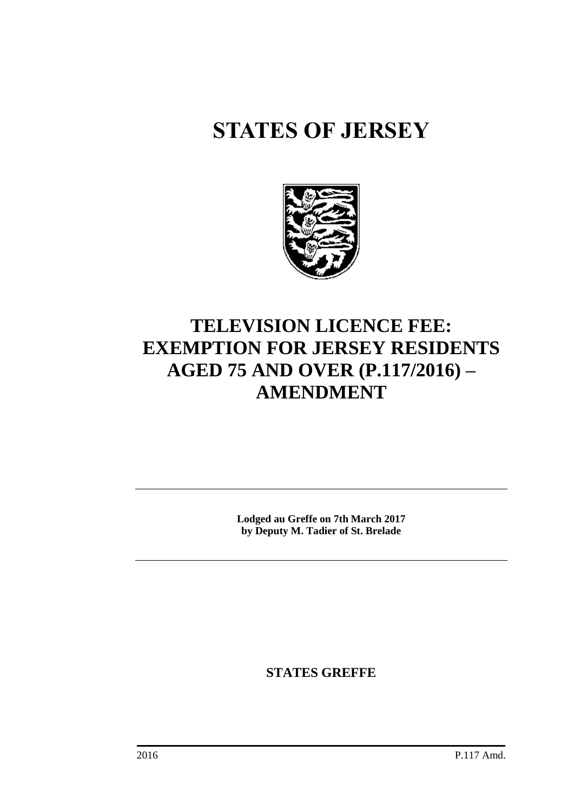# **STATES OF JERSEY**



# **TELEVISION LICENCE FEE: EXEMPTION FOR JERSEY RESIDENTS AGED 75 AND OVER (P.117/2016) – AMENDMENT**

**Lodged au Greffe on 7th March 2017 by Deputy M. Tadier of St. Brelade**

**STATES GREFFE**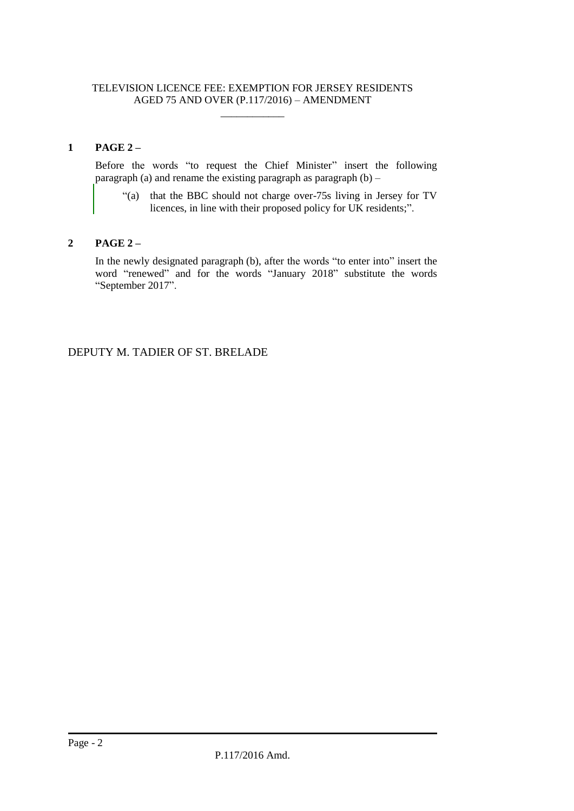#### TELEVISION LICENCE FEE: EXEMPTION FOR JERSEY RESIDENTS AGED 75 AND OVER (P.117/2016) – AMENDMENT

 $\overline{\phantom{a}}$  , where  $\overline{\phantom{a}}$ 

# **1 PAGE 2 –**

Before the words "to request the Chief Minister" insert the following paragraph (a) and rename the existing paragraph as paragraph  $(b)$  –

"(a) that the BBC should not charge over-75s living in Jersey for TV licences, in line with their proposed policy for UK residents;".

# **2 PAGE 2 –**

In the newly designated paragraph (b), after the words "to enter into" insert the word "renewed" and for the words "January 2018" substitute the words "September 2017".

DEPUTY M. TADIER OF ST. BRELADE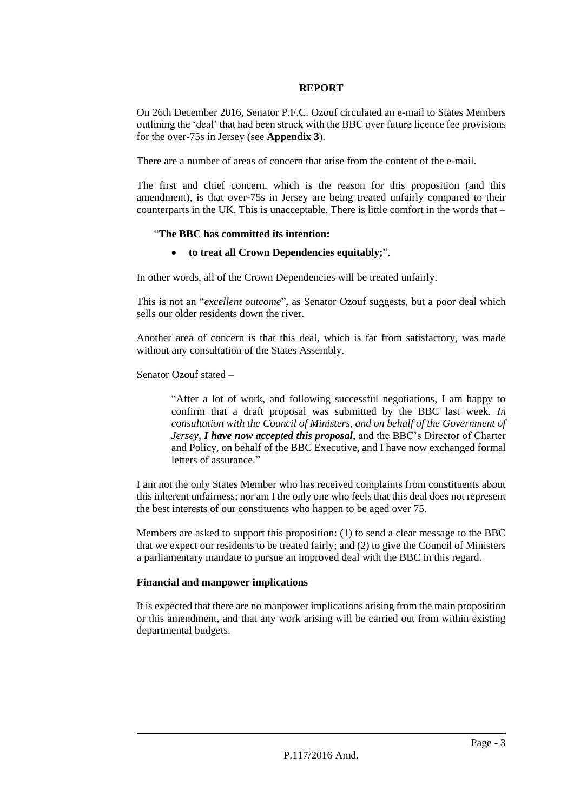#### **REPORT**

On 26th December 2016, Senator P.F.C. Ozouf circulated an e-mail to States Members outlining the 'deal' that had been struck with the BBC over future licence fee provisions for the over-75s in Jersey (see **Appendix 3**).

There are a number of areas of concern that arise from the content of the e-mail.

The first and chief concern, which is the reason for this proposition (and this amendment), is that over-75s in Jersey are being treated unfairly compared to their counterparts in the UK. This is unacceptable. There is little comfort in the words that –

# "**The BBC has committed its intention:**

# **to treat all Crown Dependencies equitably;**".

In other words, all of the Crown Dependencies will be treated unfairly.

This is not an "*excellent outcome*", as Senator Ozouf suggests, but a poor deal which sells our older residents down the river.

Another area of concern is that this deal, which is far from satisfactory, was made without any consultation of the States Assembly.

Senator Ozouf stated –

"After a lot of work, and following successful negotiations, I am happy to confirm that a draft proposal was submitted by the BBC last week. *In consultation with the Council of Ministers, and on behalf of the Government of Jersey, I have now accepted this proposal*, and the BBC's Director of Charter and Policy, on behalf of the BBC Executive, and I have now exchanged formal letters of assurance."

I am not the only States Member who has received complaints from constituents about this inherent unfairness; nor am I the only one who feels that this deal does not represent the best interests of our constituents who happen to be aged over 75.

Members are asked to support this proposition: (1) to send a clear message to the BBC that we expect our residents to be treated fairly; and (2) to give the Council of Ministers a parliamentary mandate to pursue an improved deal with the BBC in this regard.

# **Financial and manpower implications**

It is expected that there are no manpower implications arising from the main proposition or this amendment, and that any work arising will be carried out from within existing departmental budgets.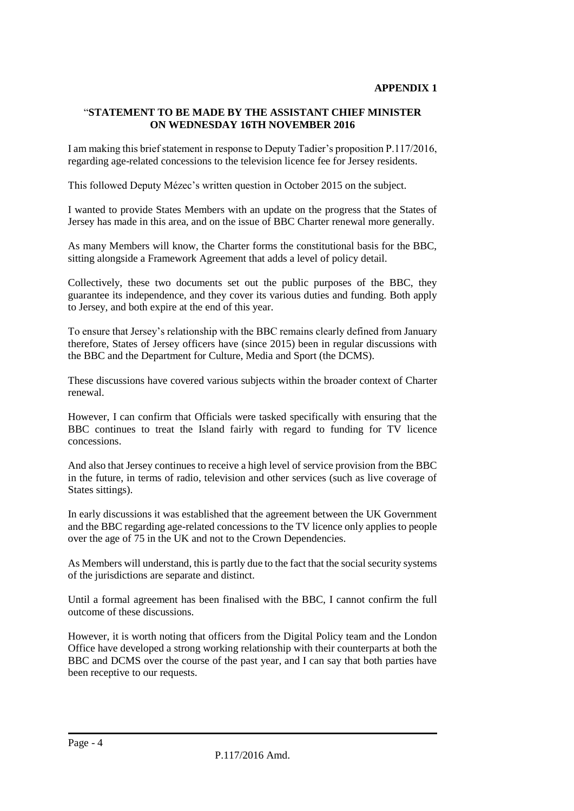# "**STATEMENT TO BE MADE BY THE ASSISTANT CHIEF MINISTER ON WEDNESDAY 16TH NOVEMBER 2016**

I am making this brief statement in response to Deputy Tadier's proposition P.117/2016, regarding age-related concessions to the television licence fee for Jersey residents.

This followed Deputy Mézec's written question in October 2015 on the subject.

I wanted to provide States Members with an update on the progress that the States of Jersey has made in this area, and on the issue of BBC Charter renewal more generally.

As many Members will know, the Charter forms the constitutional basis for the BBC, sitting alongside a Framework Agreement that adds a level of policy detail.

Collectively, these two documents set out the public purposes of the BBC, they guarantee its independence, and they cover its various duties and funding. Both apply to Jersey, and both expire at the end of this year.

To ensure that Jersey's relationship with the BBC remains clearly defined from January therefore, States of Jersey officers have (since 2015) been in regular discussions with the BBC and the Department for Culture, Media and Sport (the DCMS).

These discussions have covered various subjects within the broader context of Charter renewal.

However, I can confirm that Officials were tasked specifically with ensuring that the BBC continues to treat the Island fairly with regard to funding for TV licence concessions.

And also that Jersey continues to receive a high level of service provision from the BBC in the future, in terms of radio, television and other services (such as live coverage of States sittings).

In early discussions it was established that the agreement between the UK Government and the BBC regarding age-related concessions to the TV licence only applies to people over the age of 75 in the UK and not to the Crown Dependencies.

As Members will understand, this is partly due to the fact that the social security systems of the jurisdictions are separate and distinct.

Until a formal agreement has been finalised with the BBC, I cannot confirm the full outcome of these discussions.

However, it is worth noting that officers from the Digital Policy team and the London Office have developed a strong working relationship with their counterparts at both the BBC and DCMS over the course of the past year, and I can say that both parties have been receptive to our requests.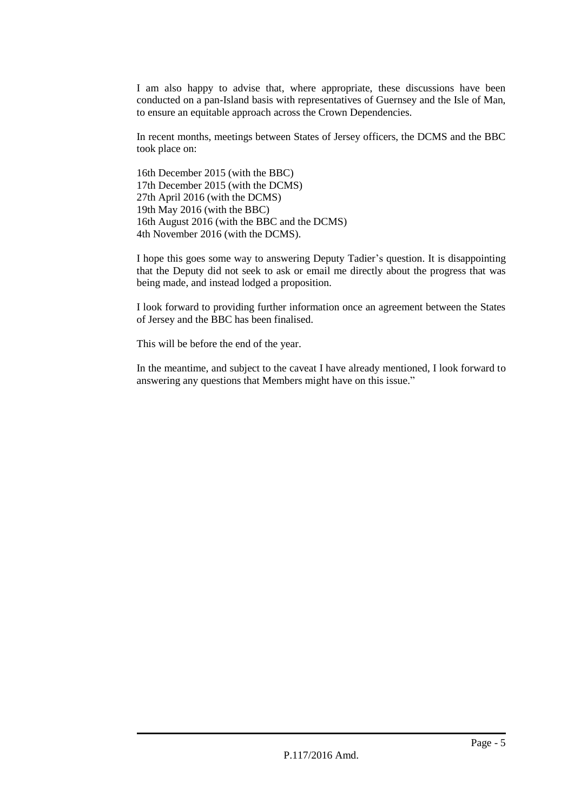I am also happy to advise that, where appropriate, these discussions have been conducted on a pan-Island basis with representatives of Guernsey and the Isle of Man, to ensure an equitable approach across the Crown Dependencies.

In recent months, meetings between States of Jersey officers, the DCMS and the BBC took place on:

16th December 2015 (with the BBC) 17th December 2015 (with the DCMS) 27th April 2016 (with the DCMS) 19th May 2016 (with the BBC) 16th August 2016 (with the BBC and the DCMS) 4th November 2016 (with the DCMS).

I hope this goes some way to answering Deputy Tadier's question. It is disappointing that the Deputy did not seek to ask or email me directly about the progress that was being made, and instead lodged a proposition.

I look forward to providing further information once an agreement between the States of Jersey and the BBC has been finalised.

This will be before the end of the year.

In the meantime, and subject to the caveat I have already mentioned, I look forward to answering any questions that Members might have on this issue."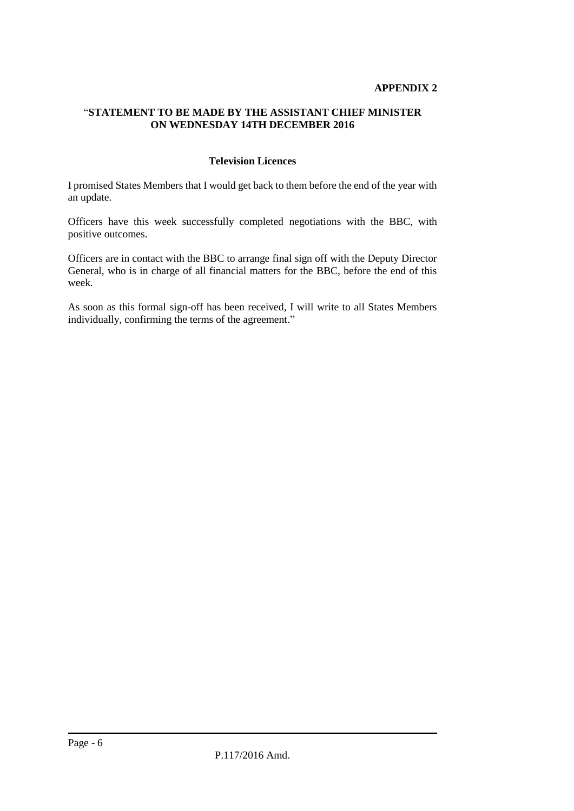### **APPENDIX 2**

# "**STATEMENT TO BE MADE BY THE ASSISTANT CHIEF MINISTER ON WEDNESDAY 14TH DECEMBER 2016**

#### **Television Licences**

I promised States Members that I would get back to them before the end of the year with an update.

Officers have this week successfully completed negotiations with the BBC, with positive outcomes.

Officers are in contact with the BBC to arrange final sign off with the Deputy Director General, who is in charge of all financial matters for the BBC, before the end of this week.

As soon as this formal sign-off has been received, I will write to all States Members individually, confirming the terms of the agreement."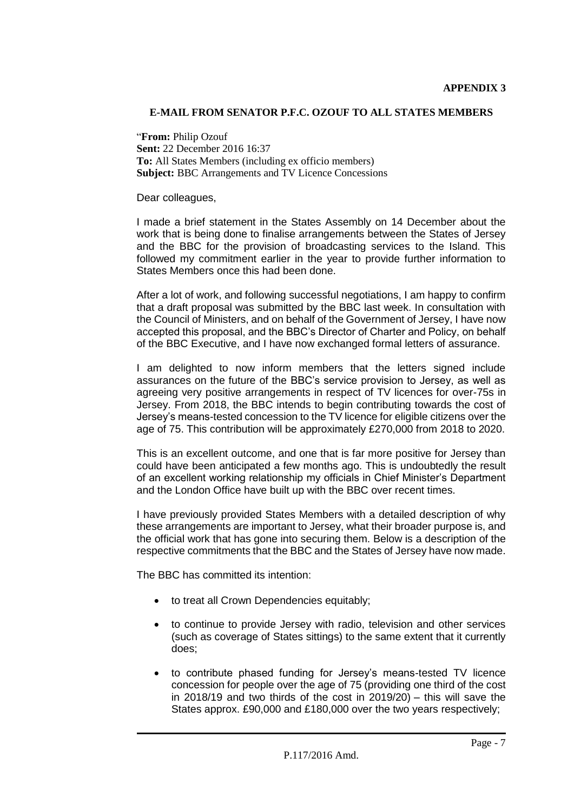### **E-MAIL FROM SENATOR P.F.C. OZOUF TO ALL STATES MEMBERS**

"**From:** Philip Ozouf **Sent:** 22 December 2016 16:37 **To:** All States Members (including ex officio members) **Subject:** BBC Arrangements and TV Licence Concessions

Dear colleagues,

I made a brief statement in the States Assembly on 14 December about the work that is being done to finalise arrangements between the States of Jersey and the BBC for the provision of broadcasting services to the Island. This followed my commitment earlier in the year to provide further information to States Members once this had been done.

After a lot of work, and following successful negotiations, I am happy to confirm that a draft proposal was submitted by the BBC last week. In consultation with the Council of Ministers, and on behalf of the Government of Jersey, I have now accepted this proposal, and the BBC's Director of Charter and Policy, on behalf of the BBC Executive, and I have now exchanged formal letters of assurance.

I am delighted to now inform members that the letters signed include assurances on the future of the BBC's service provision to Jersey, as well as agreeing very positive arrangements in respect of TV licences for over-75s in Jersey. From 2018, the BBC intends to begin contributing towards the cost of Jersey's means-tested concession to the TV licence for eligible citizens over the age of 75. This contribution will be approximately £270,000 from 2018 to 2020.

This is an excellent outcome, and one that is far more positive for Jersey than could have been anticipated a few months ago. This is undoubtedly the result of an excellent working relationship my officials in Chief Minister's Department and the London Office have built up with the BBC over recent times.

I have previously provided States Members with a detailed description of why these arrangements are important to Jersey, what their broader purpose is, and the official work that has gone into securing them. Below is a description of the respective commitments that the BBC and the States of Jersey have now made.

The BBC has committed its intention:

- to treat all Crown Dependencies equitably;
- to continue to provide Jersey with radio, television and other services (such as coverage of States sittings) to the same extent that it currently does;
- to contribute phased funding for Jersey's means-tested TV licence concession for people over the age of 75 (providing one third of the cost in 2018/19 and two thirds of the cost in 2019/20) – this will save the States approx. £90,000 and £180,000 over the two years respectively;